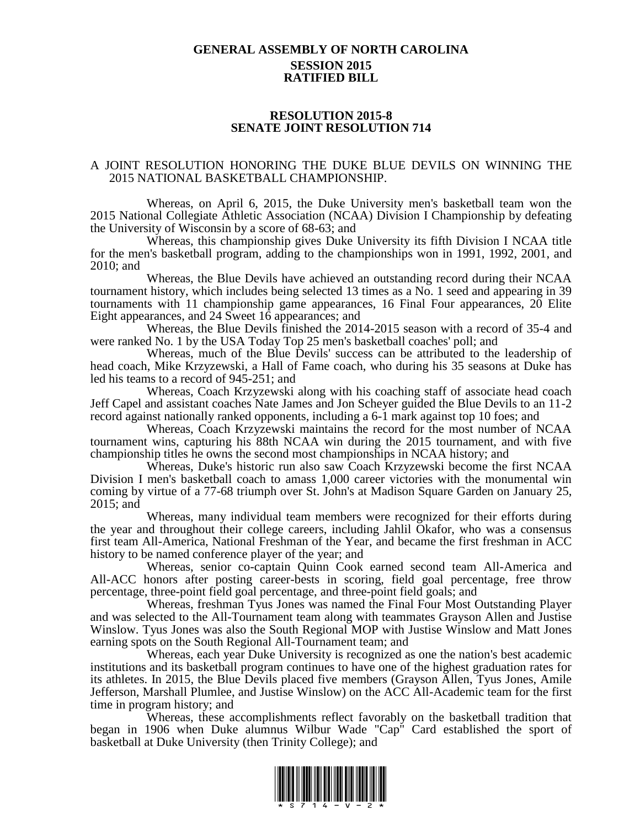## **GENERAL ASSEMBLY OF NORTH CAROLINA SESSION 2015 RATIFIED BILL**

## **RESOLUTION 2015-8 SENATE JOINT RESOLUTION 714**

## A JOINT RESOLUTION HONORING THE DUKE BLUE DEVILS ON WINNING THE 2015 NATIONAL BASKETBALL CHAMPIONSHIP.

Whereas, on April 6, 2015, the Duke University men's basketball team won the 2015 National Collegiate Athletic Association (NCAA) Division I Championship by defeating the University of Wisconsin by a score of 68-63; and

Whereas, this championship gives Duke University its fifth Division I NCAA title for the men's basketball program, adding to the championships won in 1991, 1992, 2001, and 2010; and

Whereas, the Blue Devils have achieved an outstanding record during their NCAA tournament history, which includes being selected 13 times as a No. 1 seed and appearing in 39 tournaments with 11 championship game appearances, 16 Final Four appearances, 20 Elite Eight appearances, and 24 Sweet 16 appearances; and

Whereas, the Blue Devils finished the 2014-2015 season with a record of 35-4 and were ranked No. 1 by the USA Today Top 25 men's basketball coaches' poll; and

Whereas, much of the Blue Devils' success can be attributed to the leadership of head coach, Mike Krzyzewski, a Hall of Fame coach, who during his 35 seasons at Duke has led his teams to a record of 945-251; and

Whereas, Coach Krzyzewski along with his coaching staff of associate head coach Jeff Capel and assistant coaches Nate James and Jon Scheyer guided the Blue Devils to an 11-2 record against nationally ranked opponents, including a 6-1 mark against top 10 foes; and

Whereas, Coach Krzyzewski maintains the record for the most number of NCAA tournament wins, capturing his 88th NCAA win during the 2015 tournament, and with five championship titles he owns the second most championships in NCAA history; and

Whereas, Duke's historic run also saw Coach Krzyzewski become the first NCAA Division I men's basketball coach to amass 1,000 career victories with the monumental win coming by virtue of a 77-68 triumph over St. John's at Madison Square Garden on January 25, 2015; and

Whereas, many individual team members were recognized for their efforts during the year and throughout their college careers, including Jahlil Okafor, who was a consensus first team All-America, National Freshman of the Year, and became the first freshman in ACC history to be named conference player of the year; and

Whereas, senior co-captain Quinn Cook earned second team All-America and All-ACC honors after posting career-bests in scoring, field goal percentage, free throw percentage, three-point field goal percentage, and three-point field goals; and

Whereas, freshman Tyus Jones was named the Final Four Most Outstanding Player and was selected to the All-Tournament team along with teammates Grayson Allen and Justise Winslow. Tyus Jones was also the South Regional MOP with Justise Winslow and Matt Jones earning spots on the South Regional All-Tournament team; and

Whereas, each year Duke University is recognized as one the nation's best academic institutions and its basketball program continues to have one of the highest graduation rates for its athletes. In 2015, the Blue Devils placed five members (Grayson Allen, Tyus Jones, Amile Jefferson, Marshall Plumlee, and Justise Winslow) on the ACC All-Academic team for the first time in program history; and

Whereas, these accomplishments reflect favorably on the basketball tradition that began in 1906 when Duke alumnus Wilbur Wade "Cap" Card established the sport of basketball at Duke University (then Trinity College); and